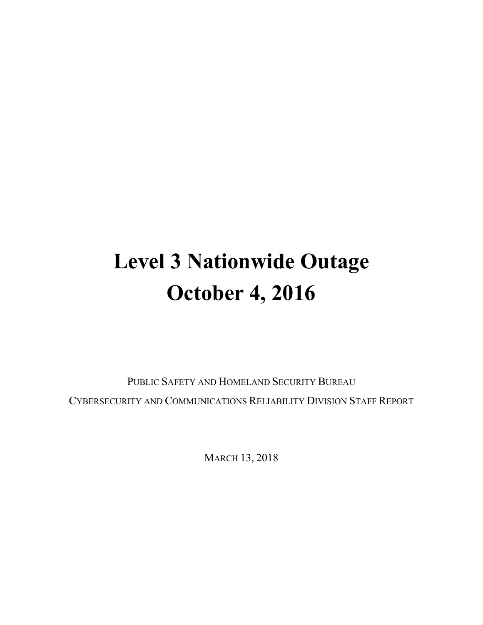# **Level 3 Nationwide Outage October 4, 2016**

PUBLIC SAFETY AND HOMELAND SECURITY BUREAU CYBERSECURITY AND COMMUNICATIONS RELIABILITY DIVISION STAFF REPORT

MARCH 13, 2018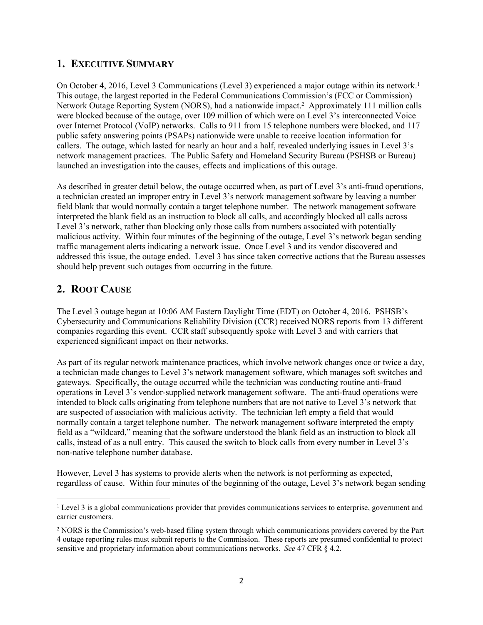### **1. EXECUTIVE SUMMARY**

On October 4, 2016, Level 3 Communications (Level 3) experienced a major outage within its network.<sup>1</sup> This outage, the largest reported in the Federal Communications Commission's (FCC or Commission) Network Outage Reporting System (NORS), had a nationwide impact.<sup>2</sup> Approximately 111 million calls were blocked because of the outage, over 109 million of which were on Level 3's interconnected Voice over Internet Protocol (VoIP) networks. Calls to 911 from 15 telephone numbers were blocked, and 117 public safety answering points (PSAPs) nationwide were unable to receive location information for callers. The outage, which lasted for nearly an hour and a half, revealed underlying issues in Level 3's network management practices. The Public Safety and Homeland Security Bureau (PSHSB or Bureau) launched an investigation into the causes, effects and implications of this outage.

As described in greater detail below, the outage occurred when, as part of Level 3's anti-fraud operations, a technician created an improper entry in Level 3's network management software by leaving a number field blank that would normally contain a target telephone number. The network management software interpreted the blank field as an instruction to block all calls, and accordingly blocked all calls across Level 3's network, rather than blocking only those calls from numbers associated with potentially malicious activity. Within four minutes of the beginning of the outage, Level 3's network began sending traffic management alerts indicating a network issue. Once Level 3 and its vendor discovered and addressed this issue, the outage ended. Level 3 has since taken corrective actions that the Bureau assesses should help prevent such outages from occurring in the future.

## **2. ROOT CAUSE**

The Level 3 outage began at 10:06 AM Eastern Daylight Time (EDT) on October 4, 2016. PSHSB's Cybersecurity and Communications Reliability Division (CCR) received NORS reports from 13 different companies regarding this event. CCR staff subsequently spoke with Level 3 and with carriers that experienced significant impact on their networks.

As part of its regular network maintenance practices, which involve network changes once or twice a day, a technician made changes to Level 3's network management software, which manages soft switches and gateways. Specifically, the outage occurred while the technician was conducting routine anti-fraud operations in Level 3's vendor-supplied network management software. The anti-fraud operations were intended to block calls originating from telephone numbers that are not native to Level 3's network that are suspected of association with malicious activity. The technician left empty a field that would normally contain a target telephone number. The network management software interpreted the empty field as a "wildcard," meaning that the software understood the blank field as an instruction to block all calls, instead of as a null entry. This caused the switch to block calls from every number in Level 3's non-native telephone number database.

However, Level 3 has systems to provide alerts when the network is not performing as expected, regardless of cause. Within four minutes of the beginning of the outage, Level 3's network began sending

<sup>&</sup>lt;sup>1</sup> Level 3 is a global communications provider that provides communications services to enterprise, government and carrier customers.

<sup>2</sup> NORS is the Commission's web-based filing system through which communications providers covered by the Part 4 outage reporting rules must submit reports to the Commission. These reports are presumed confidential to protect sensitive and proprietary information about communications networks. *See* 47 CFR § 4.2.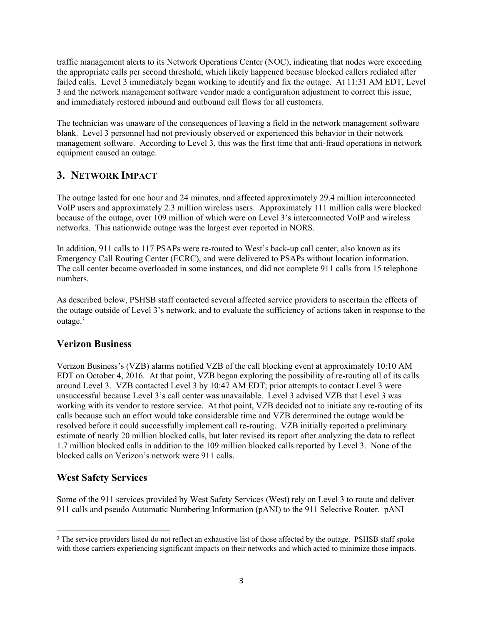traffic management alerts to its Network Operations Center (NOC), indicating that nodes were exceeding the appropriate calls per second threshold, which likely happened because blocked callers redialed after failed calls. Level 3 immediately began working to identify and fix the outage. At 11:31 AM EDT, Level 3 and the network management software vendor made a configuration adjustment to correct this issue, and immediately restored inbound and outbound call flows for all customers.

The technician was unaware of the consequences of leaving a field in the network management software blank. Level 3 personnel had not previously observed or experienced this behavior in their network management software. According to Level 3, this was the first time that anti-fraud operations in network equipment caused an outage.

### **3. NETWORK IMPACT**

The outage lasted for one hour and 24 minutes, and affected approximately 29.4 million interconnected VoIP users and approximately 2.3 million wireless users. Approximately 111 million calls were blocked because of the outage, over 109 million of which were on Level 3's interconnected VoIP and wireless networks. This nationwide outage was the largest ever reported in NORS.

In addition, 911 calls to 117 PSAPs were re-routed to West's back-up call center, also known as its Emergency Call Routing Center (ECRC), and were delivered to PSAPs without location information. The call center became overloaded in some instances, and did not complete 911 calls from 15 telephone numbers.

As described below, PSHSB staff contacted several affected service providers to ascertain the effects of the outage outside of Level 3's network, and to evaluate the sufficiency of actions taken in response to the outage.<sup>3</sup>

### **Verizon Business**

Verizon Business's (VZB) alarms notified VZB of the call blocking event at approximately 10:10 AM EDT on October 4, 2016. At that point, VZB began exploring the possibility of re-routing all of its calls around Level 3. VZB contacted Level 3 by 10:47 AM EDT; prior attempts to contact Level 3 were unsuccessful because Level 3's call center was unavailable. Level 3 advised VZB that Level 3 was working with its vendor to restore service. At that point, VZB decided not to initiate any re-routing of its calls because such an effort would take considerable time and VZB determined the outage would be resolved before it could successfully implement call re-routing. VZB initially reported a preliminary estimate of nearly 20 million blocked calls, but later revised its report after analyzing the data to reflect 1.7 million blocked calls in addition to the 109 million blocked calls reported by Level 3. None of the blocked calls on Verizon's network were 911 calls.

## **West Safety Services**

Some of the 911 services provided by West Safety Services (West) rely on Level 3 to route and deliver 911 calls and pseudo Automatic Numbering Information (pANI) to the 911 Selective Router. pANI

<sup>&</sup>lt;sup>3</sup> The service providers listed do not reflect an exhaustive list of those affected by the outage. PSHSB staff spoke with those carriers experiencing significant impacts on their networks and which acted to minimize those impacts.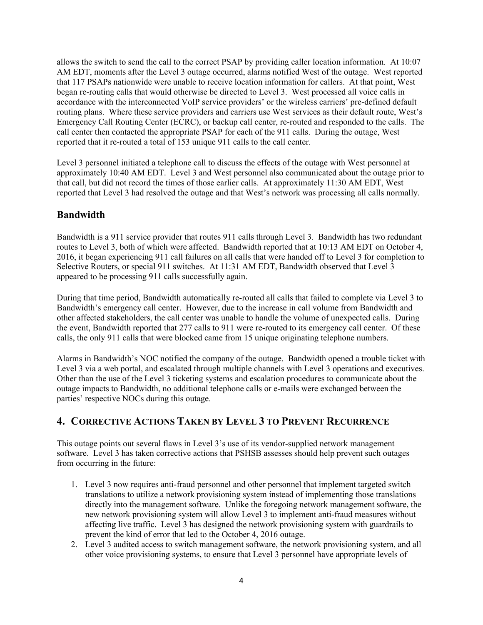allows the switch to send the call to the correct PSAP by providing caller location information. At 10:07 AM EDT, moments after the Level 3 outage occurred, alarms notified West of the outage. West reported that 117 PSAPs nationwide were unable to receive location information for callers. At that point, West began re-routing calls that would otherwise be directed to Level 3. West processed all voice calls in accordance with the interconnected VoIP service providers' or the wireless carriers' pre-defined default routing plans. Where these service providers and carriers use West services as their default route, West's Emergency Call Routing Center (ECRC), or backup call center, re-routed and responded to the calls. The call center then contacted the appropriate PSAP for each of the 911 calls. During the outage, West reported that it re-routed a total of 153 unique 911 calls to the call center.

Level 3 personnel initiated a telephone call to discuss the effects of the outage with West personnel at approximately 10:40 AM EDT. Level 3 and West personnel also communicated about the outage prior to that call, but did not record the times of those earlier calls. At approximately 11:30 AM EDT, West reported that Level 3 had resolved the outage and that West's network was processing all calls normally.

#### **Bandwidth**

Bandwidth is a 911 service provider that routes 911 calls through Level 3. Bandwidth has two redundant routes to Level 3, both of which were affected. Bandwidth reported that at 10:13 AM EDT on October 4, 2016, it began experiencing 911 call failures on all calls that were handed off to Level 3 for completion to Selective Routers, or special 911 switches. At 11:31 AM EDT, Bandwidth observed that Level 3 appeared to be processing 911 calls successfully again.

During that time period, Bandwidth automatically re-routed all calls that failed to complete via Level 3 to Bandwidth's emergency call center. However, due to the increase in call volume from Bandwidth and other affected stakeholders, the call center was unable to handle the volume of unexpected calls. During the event, Bandwidth reported that 277 calls to 911 were re-routed to its emergency call center. Of these calls, the only 911 calls that were blocked came from 15 unique originating telephone numbers.

Alarms in Bandwidth's NOC notified the company of the outage. Bandwidth opened a trouble ticket with Level 3 via a web portal, and escalated through multiple channels with Level 3 operations and executives. Other than the use of the Level 3 ticketing systems and escalation procedures to communicate about the outage impacts to Bandwidth, no additional telephone calls or e-mails were exchanged between the parties' respective NOCs during this outage.

### **4. CORRECTIVE ACTIONS TAKEN BY LEVEL 3 TO PREVENT RECURRENCE**

This outage points out several flaws in Level 3's use of its vendor-supplied network management software. Level 3 has taken corrective actions that PSHSB assesses should help prevent such outages from occurring in the future:

- 1. Level 3 now requires anti-fraud personnel and other personnel that implement targeted switch translations to utilize a network provisioning system instead of implementing those translations directly into the management software. Unlike the foregoing network management software, the new network provisioning system will allow Level 3 to implement anti-fraud measures without affecting live traffic. Level 3 has designed the network provisioning system with guardrails to prevent the kind of error that led to the October 4, 2016 outage.
- 2. Level 3 audited access to switch management software, the network provisioning system, and all other voice provisioning systems, to ensure that Level 3 personnel have appropriate levels of